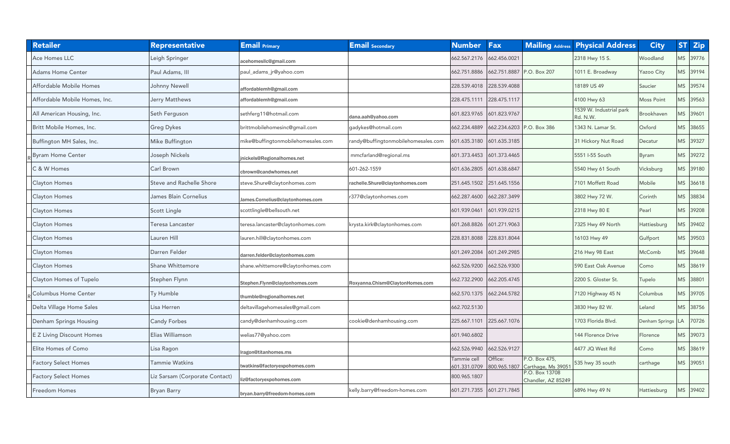| <b>Retailer</b>                  | <b>Representative</b>           | <b>Email Primary</b>               | <b>Email</b> Secondary             | <b>Number</b>               | <b>Fax</b>              |                                      | <b>Mailing Address Physical Address</b> | <b>City</b>           |           | <b>ST Zip</b> |
|----------------------------------|---------------------------------|------------------------------------|------------------------------------|-----------------------------|-------------------------|--------------------------------------|-----------------------------------------|-----------------------|-----------|---------------|
| Ace Homes LLC                    | eigh Springer                   | acehomeslic@gmail.com              |                                    | 662.567.2176                | 662.456.0021            |                                      | 2318 Hwy 15 S.                          | Woodland              | MS        | 39776         |
| <b>Adams Home Center</b>         | Paul Adams, III                 | paul_adams_jr@yahoo.com            |                                    | 662.751.8886                | 662.751.8887            | P.O. Box 207                         | 1011 E. Broadway                        | Yazoo City            | <b>MS</b> | 39194         |
| Affordable Mobile Homes          | Johnny Newell                   | affordablemh@gmail.com             |                                    | 228.539.4018                | 228.539.4088            |                                      | 18189 US 49                             | Saucier               | <b>MS</b> | 39574         |
| Affordable Mobile Homes, Inc.    | Jerry Matthews                  | affordablemh@gmail.com             |                                    | 228.475.1111                | 228.475.1117            |                                      | 4100 Hwy 63                             | <b>Moss Point</b>     | MS        | 39563         |
| All American Housing, Inc.       | Seth Ferguson                   | sethferg11@hotmail.com             | dana.aah@yahoo.com                 | 601.823.9765                | 601.823.9767            |                                      | 1539 W. Industrial park<br>Rd. N.W.     | Brookhaven            | MS        | 39601         |
| Britt Mobile Homes, Inc.         | <b>Greg Dykes</b>               | brittmobilehomesinc@gmail.com      | gadykes@hotmail.com                | 662.234.4889                | 662.234.6203            | P.O. Box 386                         | 1343 N. Lamar St.                       | Oxford                | <b>MS</b> | 38655         |
| Buffington MH Sales, Inc.        | Mike Buffington                 | mike@buffingtonmobilehomesales.com | andy@buffingtonmobilehomesales.com | 601.635.3180                | 601.635.3185            |                                      | 31 Hickory Nut Road                     | Decatur               | MS        | 39327         |
| <b>Byram Home Center</b>         | Joseph Nickels                  | inickels@Regionalhomes.net         | mmcfarland@regional.ms             | 601.373.4453                | 601.373.4465            |                                      | 5551 I-55 South                         | Byram                 | <b>MS</b> | 39272         |
| <b>3 &amp; W Homes</b>           | Carl Brown                      | cbrown@candwhomes.net              | 601-262-1559                       | 601.636.2805                | 601.638.6847            |                                      | 5540 Hwy 61 South                       | Vicksburg             | MS        | 39180         |
| <b>Clayton Homes</b>             | <b>Steve and Rachelle Shore</b> | steve.Shure@claytonhomes.com       | achelle.Shure@claytonhomes.com     | 251.645.1502                | 251.645.1556            |                                      | 7101 Moffett Road                       | Mobile                | <b>MS</b> | 36618         |
| Clayton Homes                    | James Blain Cornelius           | James.Cornelius@claytonhomes.com   | 377@claytonhomes.com               | 662.287.4600                | 662.287.3499            |                                      | 3802 Hwy 72 W.                          | Corinth               | <b>MS</b> | 38834         |
| Clayton Homes                    | Scott Lingle                    | scottlingle@bellsouth.net          |                                    | 601.939.0461                | 601.939.0215            |                                      | 2318 Hwy 80 E                           | Pearl                 | <b>MS</b> | 39208         |
| Clayton Homes                    | Teresa Lancaster                | eresa.lancaster@claytonhomes.com   | rysta.kirk@claytonhomes.com        | 601.268.8826                | 601.271.9063            |                                      | 7325 Hwy 49 North                       | Hattiesburg           | MS        | 39402         |
| Clayton Homes                    | Lauren Hill                     | auren.hill@claytonhomes.com        |                                    | 228.831.8088                | 228.831.8044            |                                      | 16103 Hwy 49                            | Gulfport              | <b>MS</b> | 39503         |
| <b>Clayton Homes</b>             | Darren Felder                   | darren.felder@claytonhomes.com     |                                    | 601.249.2084                | 601.249.2985            |                                      | 216 Hwy 98 East                         | McComb                | MS        | 39648         |
| Clayton Homes                    | Shane Whittemore                | shane.whittemore@claytonhomes.com  |                                    | 662.526.9200                | 662.526.9300            |                                      | 590 East Oak Avenue                     | Como                  | <b>MS</b> | 38619         |
| Clayton Homes of Tupelo          | Stephen Flynn                   | Stephen.Flynn@claytonhomes.com     | Roxyanna.Chism@ClaytonHomes.com    | 662.732.2900                | 662.205.4745            |                                      | 2200 S. Gloster St.                     | Tupelo                | <b>MS</b> | 38801         |
| Columbus Home Center             | Ty Humble                       | humble@regionalhomes.net           |                                    | 662.570.1375                | 662.244.5782            |                                      | 7120 Highway 45 N                       | Columbus              | MS        | 39705         |
| Delta Village Home Sales         | Lisa Herren                     | deltavillagehomesales@gmail.com    |                                    | 662.702.5130                |                         |                                      | 3830 Hwy 82 W.                          | Leland                | <b>MS</b> | 38756         |
| Denham Springs Housing           | <b>Candy Forbes</b>             | candy@denhamhousing.com            | cookie@denhamhousing.com           | 225.667.1101                | 225.667.1076            |                                      | 1703 Florida Blvd.                      | <b>Denham Springs</b> | LA        | 70726         |
| <b>E Z Living Discount Homes</b> | Elias Williamson                | welias77@yahoo.com                 |                                    | 601.940.6802                |                         |                                      | 144 Florence Drive                      | Florence              | <b>MS</b> | 39073         |
| Elite Homes of Como              | Lisa Ragon                      | ragon@titanhomes.ms                |                                    | 662.526.9940                | 662.526.9127            |                                      | 4477 JQ West Rd                         | Como                  | <b>MS</b> | 38619         |
| Factory Select Homes             | <b>Tammie Watkins</b>           | twatkins@factoryexpohomes.com      |                                    | Tammie cell<br>601.331.0709 | Office:<br>800.965.1807 | P.O. Box 475,<br>Carthage, Ms 39051  | 535 hwy 35 south                        | carthage              | <b>MS</b> | 39051         |
| <b>Factory Select Homes</b>      | Liz Sarsam (Corporate Contact)  | z@factoryexpohomes.com             |                                    | 800.965.1807                |                         | P.O. Box 13708<br>Chandler, AZ 85249 |                                         |                       |           |               |
| Freedom Homes                    | <b>Bryan Barry</b>              | bryan.barry@freedom-homes.com      | celly.barry@freedom-homes.com      | 601.271.7355 601.271.7845   |                         |                                      | 6896 Hwy 49 N                           | Hattiesburg           | <b>MS</b> | 39402         |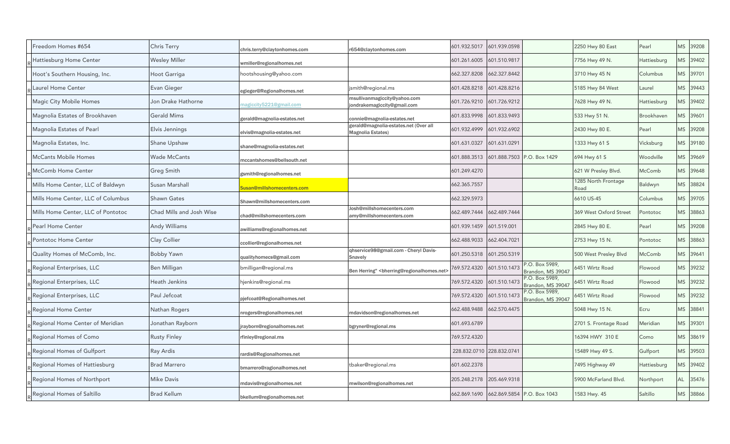| Freedom Homes #654                 | Chris Terry              | chris.terry@claytonhomes.com      | r654@claytonhomes.com                                                                                                                                                                                                                        | 601.932.5017 | 601.939.0598              |                                                 | 2250 Hwy 80 East            | Pearl       | MS        | 39208     |
|------------------------------------|--------------------------|-----------------------------------|----------------------------------------------------------------------------------------------------------------------------------------------------------------------------------------------------------------------------------------------|--------------|---------------------------|-------------------------------------------------|-----------------------------|-------------|-----------|-----------|
| Hattiesburg Home Center            | Wesley Miller            | wmiller@regionalhomes.net         |                                                                                                                                                                                                                                              | 601.261.6005 | 601.510.9817              |                                                 | 7756 Hwy 49 N.              | Hattiesburg | <b>MS</b> | 39402     |
| Hoot's Southern Housing, Inc.      | Hoot Garriga             | ootshousing@yahoo.com             |                                                                                                                                                                                                                                              | 662.327.8208 | 662.327.8442              |                                                 | 3710 Hwy 45 N               | Columbus    | <b>MS</b> | 39701     |
| Laurel Home Center                 | Evan Gieger              | egieger@Regionalhomes.net         | ismith@regional.ms                                                                                                                                                                                                                           | 601.428.8218 | 601.428.8216              |                                                 | 5185 Hwy 84 West            | Laurel      | MS        | 39443     |
| Magic City Mobile Homes            | Jon Drake Hathorne       | nagiccity5221@gmail.com           | msullivanmagiccity@yahoo.com<br>ondrakemagiccity@gmail.com                                                                                                                                                                                   | 601.726.9210 | 601.726.9212              |                                                 | 7628 Hwy 49 N.              | Hattiesburg | <b>MS</b> | 39402     |
| Magnolia Estates of Brookhaven     | <b>Gerald Mims</b>       | gerald@magnolia-estates.net       | connie@magnolia-estates.net                                                                                                                                                                                                                  | 601.833.9998 | 601.833.9493              |                                                 | 533 Hwy 51 N.               | Brookhaven  | <b>MS</b> | 39601     |
| Magnolia Estates of Pearl          | Elvis Jennings           | elvis@magnolia-estates.net        | gerald@magnolia-estates.net (Over all<br>Magnolia Estates)                                                                                                                                                                                   | 601.932.4999 | 601.932.6902              |                                                 | 2430 Hwy 80 E.              | Pearl       | <b>MS</b> | 39208     |
| Magnolia Estates, Inc.             | Shane Upshaw             | shane@magnolia-estates.net        |                                                                                                                                                                                                                                              | 601.631.0327 | 601.631.0291              |                                                 | 1333 Hwy 61 S               | Vicksburg   | <b>MS</b> | 39180     |
| <b>McCants Mobile Homes</b>        | Wade McCants             | nccantshomes@bellsouth.net        |                                                                                                                                                                                                                                              | 601.888.3513 |                           | 601.888.7503 P.O. Box 1429                      | 694 Hwy 61 S                | Woodville   | <b>MS</b> | 39669     |
| <b>McComb Home Center</b>          | Greg Smith               | gsmith@regionalhomes.net          |                                                                                                                                                                                                                                              | 601.249.4270 |                           |                                                 | 621 W Presley Blvd.         | McComb      | <b>MS</b> | 39648     |
| Mills Home Center, LLC of Baldwyn  | Susan Marshall           | <b>Susan@millshomecenters.com</b> |                                                                                                                                                                                                                                              | 662.365.7557 |                           |                                                 | 1285 North Frontage<br>Road | Baldwyn     |           | VIS 38824 |
| Mills Home Center, LLC of Columbus | <b>Shawn Gates</b>       | Shawn@millshomecenters.com        |                                                                                                                                                                                                                                              | 662.329.5973 |                           |                                                 | 6610 US-45                  | Columbus    | MS        | 39705     |
| Mills Home Center, LLC of Pontotoc | Chad Mills and Josh Wise | chad@millshomecenters.com         | Josh@millshomecenters.com<br>amy@millshomecenters.com                                                                                                                                                                                        | 662.489.7444 | 662.489.7444              |                                                 | 369 West Oxford Street      | Pontotoc    | <b>MS</b> | 38863     |
| <b>Pearl Home Center</b>           | Andy Williams            | williams@regionalhomes.net        |                                                                                                                                                                                                                                              | 601.939.1459 | 601.519.001               |                                                 | 2845 Hwy 80 E.              | Pearl       | MS        | 39208     |
| Pontotoc Home Center               | Clay Collier             | ccollier@regionalhomes.net        |                                                                                                                                                                                                                                              | 662.488.9033 | 662.404.7021              |                                                 | 2753 Hwy 15 N.              | Pontotoc    | <b>MS</b> | 38863     |
| Quality Homes of McComb, Inc.      | <b>Bobby Yawn</b>        | ualityhomecs@gmail.com            | qhservice98@gmail.com - Cheryl Davis-<br>Snavely                                                                                                                                                                                             | 601.250.5318 | 601.250.5319              |                                                 | 500 West Presley Blvd       | McComb      | <b>MS</b> | 39641     |
| Regional Enterprises, LLC          | Ben Milligan             | omilligan@regional.ms             | Ben Herring" <bherring@regionalhomes.net< td=""><td>769.572.4320</td><td>601.510.1473</td><td>.O. Box 5989,<br/>Brandon, MS 39047</td><td>6451 Wirtz Road</td><td>Flowood</td><td><b>MS</b></td><td>39232</td></bherring@regionalhomes.net<> | 769.572.4320 | 601.510.1473              | .O. Box 5989,<br>Brandon, MS 39047              | 6451 Wirtz Road             | Flowood     | <b>MS</b> | 39232     |
| Regional Enterprises, LLC          | Heath Jenkins            | njenkins@regional.ms              |                                                                                                                                                                                                                                              | 769.572.4320 | 601.510.1473              | <sup>2</sup> .O. Box 5989,<br>Brandon, MS 39047 | 5451 Wirtz Road             | Flowood     | <b>MS</b> | 39232     |
| Regional Enterprises, LLC          | Paul Jefcoat             | ojefcoat@Regionalhomes.net        |                                                                                                                                                                                                                                              | 769.572.4320 | 601.510.1473              | P.O. Box 5989,<br>Brandon, MS 39047             | 6451 Wirtz Road             | Flowood     | MS        | 39232     |
| <b>Regional Home Center</b>        | Nathan Rogers            | irogers@regionalhomes.net         | mdavidson@regionalhomes.net                                                                                                                                                                                                                  | 662.488.9488 | 662.570.4475              |                                                 | 5048 Hwy 15 N.              | Ecru        | MS        | 38841     |
| Regional Home Center of Meridian   | Jonathan Rayborn         | rayborn@regionalhomes.net         | bgryner@regional.ms                                                                                                                                                                                                                          | 601.693.6789 |                           |                                                 | 2701 S. Frontage Road       | Meridian    | <b>MS</b> | 39301     |
| Regional Homes of Como             | <b>Rusty Finley</b>      | rfinley@regional.ms               |                                                                                                                                                                                                                                              | 769.572.4320 |                           |                                                 | 16394 HWY 310 E             | Como        | <b>MS</b> | 38619     |
| Regional Homes of Gulfport         | Ray Ardis                | ardis@Regionalhomes.net           |                                                                                                                                                                                                                                              |              | 228.832.0710 228.832.0741 |                                                 | 15489 Hwy 49 S.             | Gulfport    | MS        | 39503     |
| Regional Homes of Hattiesburg      | <b>Brad Marrero</b>      | bmarrero@ragionalhomes.net        | tbaker@regional.ms                                                                                                                                                                                                                           | 601.602.2378 |                           |                                                 | 7495 Highway 49             | Hattiesburg | <b>MS</b> | 39402     |
| Regional Homes of Northport        | <b>Mike Davis</b>        | ndavis@regionalhomes.net          | mwilson@regionalhomes.net                                                                                                                                                                                                                    | 205.248.2178 | 205.469.9318              |                                                 | 5900 McFarland Blvd.        | Northport   | AL        | 35476     |
| Regional Homes of Saltillo         | <b>Brad Kellum</b>       | bkellum@regionalhomes.net         |                                                                                                                                                                                                                                              | 662.869.1690 |                           | 662.869.5854 P.O. Box 1043                      | 583 Hwy. 45                 | Saltillo    | MS        | 38866     |
|                                    |                          |                                   |                                                                                                                                                                                                                                              |              |                           |                                                 |                             |             |           |           |